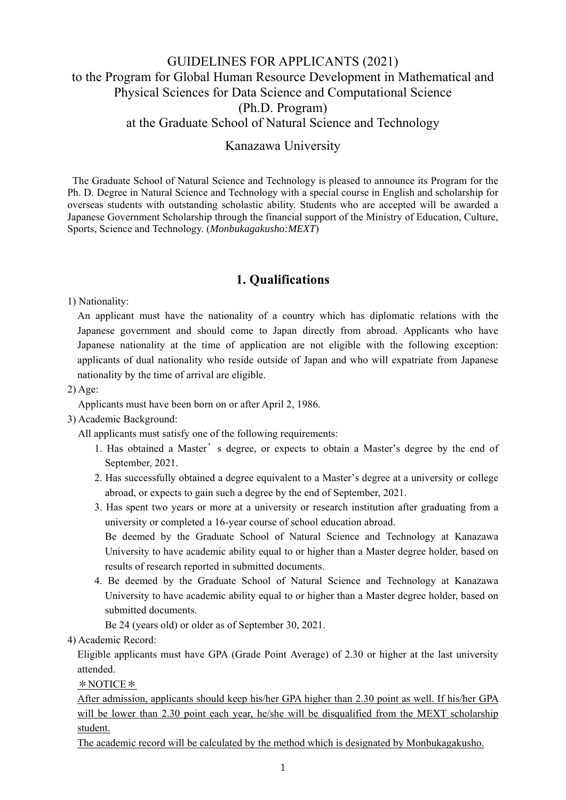# GUIDELINES FOR APPLICANTS (2021) to the Program for Global Human Resource Development in Mathematical and Physical Sciences for Data Science and Computational Science (Ph.D. Program) at the Graduate School of Natural Science and Technology

#### Kanazawa University

The Graduate School of Natural Science and Technology is pleased to announce its Program for the Ph. D. Degree in Natural Science and Technology with a special course in English and scholarship for overseas students with outstanding scholastic ability. Students who are accepted will be awarded a Japanese Government Scholarship through the financial support of the Ministry of Education, Culture, Sports, Science and Technology. (*Monbukagakusho:MEXT*)

## **1. Qualifications**

1) Nationality:

An applicant must have the nationality of a country which has diplomatic relations with the Japanese government and should come to Japan directly from abroad. Applicants who have Japanese nationality at the time of application are not eligible with the following exception: applicants of dual nationality who reside outside of Japan and who will expatriate from Japanese nationality by the time of arrival are eligible.

2) Age:

Applicants must have been born on or after April 2, 1986.

3) Academic Background:

All applicants must satisfy one of the following requirements:

- 1. Has obtained a Master's degree, or expects to obtain a Master's degree by the end of September, 2021.
- 2. Has successfully obtained a degree equivalent to a Master's degree at a university or college abroad, or expects to gain such a degree by the end of September, 2021.
- 3. Has spent two years or more at a university or research institution after graduating from a university or completed a 16-year course of school education abroad. Be deemed by the Graduate School of Natural Science and Technology at Kanazawa University to have academic ability equal to or higher than a Master degree holder, based on
- results of research reported in submitted documents. 4. Be deemed by the Graduate School of Natural Science and Technology at Kanazawa University to have academic ability equal to or higher than a Master degree holder, based on submitted documents.

Be 24 (years old) or older as of September 30, 2021.

4) Academic Record:

Eligible applicants must have GPA (Grade Point Average) of 2.30 or higher at the last university attended.

\*NOTICE\*

After admission, applicants should keep his/her GPA higher than 2.30 point as well. If his/her GPA will be lower than 2.30 point each year, he/she will be disqualified from the MEXT scholarship student.

The academic record will be calculated by the method which is designated by Monbukagakusho.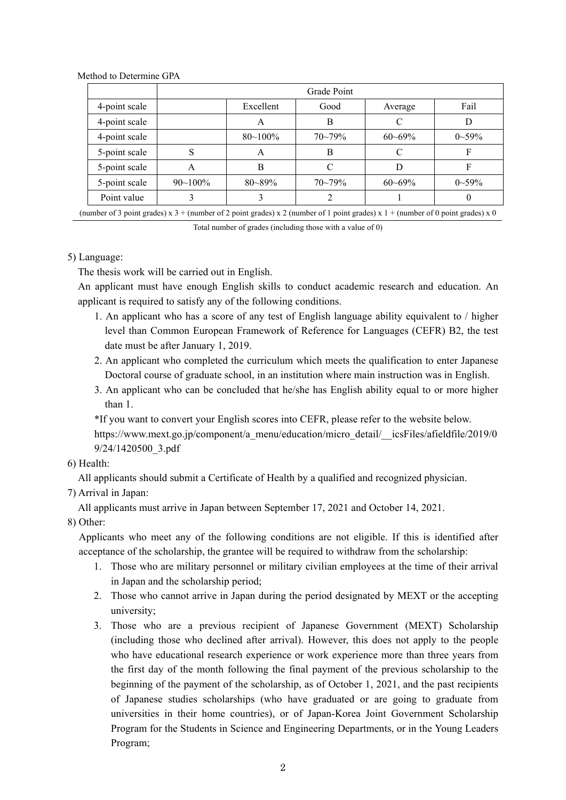|               | Grade Point  |              |             |             |              |
|---------------|--------------|--------------|-------------|-------------|--------------|
| 4-point scale |              | Excellent    | Good        | Average     | Fail         |
| 4-point scale |              | А            | B           | C           | D            |
| 4-point scale |              | $80 - 100\%$ | $70 - 79\%$ | $60 - 69\%$ | $0\sim 59\%$ |
| 5-point scale | S            | A            | В           | C           | F            |
| 5-point scale | A            | В            |             | D           | F            |
| 5-point scale | $90 - 100\%$ | $80 - 89\%$  | $70 - 79\%$ | $60 - 69\%$ | $0\sim 59\%$ |
| Point value   |              |              |             |             |              |

Method to Determine GPA

(number of 3 point grades) x  $3 +$  (number of 2 point grades) x 2 (number of 1 point grades) x  $1 +$  (number of 0 point grades) x 0

Total number of grades (including those with a value of 0)

5) Language:

The thesis work will be carried out in English.

 An applicant must have enough English skills to conduct academic research and education. An applicant is required to satisfy any of the following conditions.

- 1. An applicant who has a score of any test of English language ability equivalent to / higher level than Common European Framework of Reference for Languages (CEFR) B2, the test date must be after January 1, 2019.
- 2. An applicant who completed the curriculum which meets the qualification to enter Japanese Doctoral course of graduate school, in an institution where main instruction was in English.
- 3. An applicant who can be concluded that he/she has English ability equal to or more higher than 1.

\*If you want to convert your English scores into CEFR, please refer to the website below. https://www.mext.go.jp/component/a\_menu/education/micro\_detail/\_\_icsFiles/afieldfile/2019/0

9/24/1420500\_3.pdf

6) Health:

All applicants should submit a Certificate of Health by a qualified and recognized physician.

7) Arrival in Japan:

All applicants must arrive in Japan between September 17, 2021 and October 14, 2021.

8) Other:

Applicants who meet any of the following conditions are not eligible. If this is identified after acceptance of the scholarship, the grantee will be required to withdraw from the scholarship:

- 1. Those who are military personnel or military civilian employees at the time of their arrival in Japan and the scholarship period;
- 2. Those who cannot arrive in Japan during the period designated by MEXT or the accepting university;
- 3. Those who are a previous recipient of Japanese Government (MEXT) Scholarship (including those who declined after arrival). However, this does not apply to the people who have educational research experience or work experience more than three years from the first day of the month following the final payment of the previous scholarship to the beginning of the payment of the scholarship, as of October 1, 2021, and the past recipients of Japanese studies scholarships (who have graduated or are going to graduate from universities in their home countries), or of Japan-Korea Joint Government Scholarship Program for the Students in Science and Engineering Departments, or in the Young Leaders Program;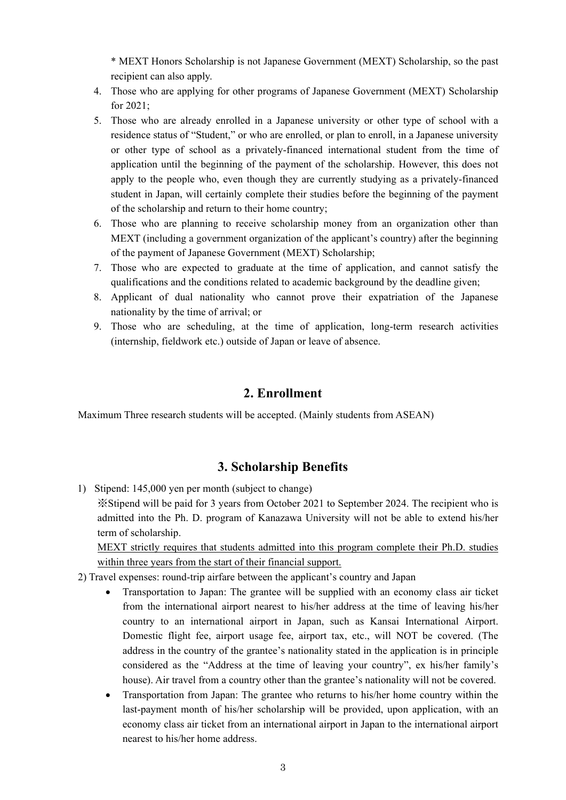\* MEXT Honors Scholarship is not Japanese Government (MEXT) Scholarship, so the past recipient can also apply.

- 4. Those who are applying for other programs of Japanese Government (MEXT) Scholarship for 2021;
- 5. Those who are already enrolled in a Japanese university or other type of school with a residence status of "Student," or who are enrolled, or plan to enroll, in a Japanese university or other type of school as a privately-financed international student from the time of application until the beginning of the payment of the scholarship. However, this does not apply to the people who, even though they are currently studying as a privately-financed student in Japan, will certainly complete their studies before the beginning of the payment of the scholarship and return to their home country;
- 6. Those who are planning to receive scholarship money from an organization other than MEXT (including a government organization of the applicant's country) after the beginning of the payment of Japanese Government (MEXT) Scholarship;
- 7. Those who are expected to graduate at the time of application, and cannot satisfy the qualifications and the conditions related to academic background by the deadline given;
- 8. Applicant of dual nationality who cannot prove their expatriation of the Japanese nationality by the time of arrival; or
- 9. Those who are scheduling, at the time of application, long-term research activities (internship, fieldwork etc.) outside of Japan or leave of absence.

#### **2. Enrollment**

Maximum Three research students will be accepted. (Mainly students from ASEAN)

#### **3. Scholarship Benefits**

1) Stipend: 145,000 yen per month (subject to change)

※Stipend will be paid for 3 years from October 2021 to September 2024. The recipient who is admitted into the Ph. D. program of Kanazawa University will not be able to extend his/her term of scholarship.

MEXT strictly requires that students admitted into this program complete their Ph.D. studies within three years from the start of their financial support.

- 2) Travel expenses: round-trip airfare between the applicant's country and Japan
	- Transportation to Japan: The grantee will be supplied with an economy class air ticket from the international airport nearest to his/her address at the time of leaving his/her country to an international airport in Japan, such as Kansai International Airport. Domestic flight fee, airport usage fee, airport tax, etc., will NOT be covered. (The address in the country of the grantee's nationality stated in the application is in principle considered as the "Address at the time of leaving your country", ex his/her family's house). Air travel from a country other than the grantee's nationality will not be covered.
	- Transportation from Japan: The grantee who returns to his/her home country within the last-payment month of his/her scholarship will be provided, upon application, with an economy class air ticket from an international airport in Japan to the international airport nearest to his/her home address.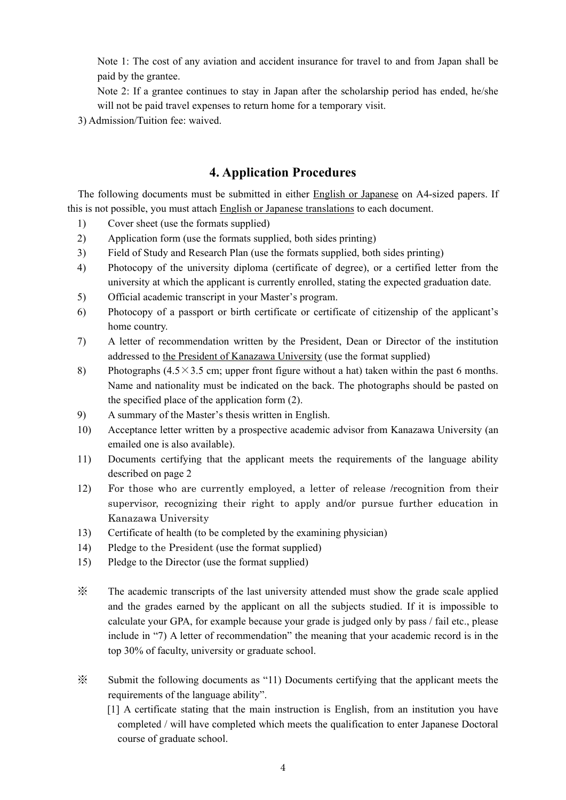Note 1: The cost of any aviation and accident insurance for travel to and from Japan shall be paid by the grantee.

Note 2: If a grantee continues to stay in Japan after the scholarship period has ended, he/she will not be paid travel expenses to return home for a temporary visit.

3) Admission/Tuition fee: waived.

### **4. Application Procedures**

 The following documents must be submitted in either English or Japanese on A4-sized papers. If this is not possible, you must attach English or Japanese translations to each document.

- 1) Cover sheet (use the formats supplied)
- 2) Application form (use the formats supplied, both sides printing)
- 3) Field of Study and Research Plan (use the formats supplied, both sides printing)
- 4) Photocopy of the university diploma (certificate of degree), or a certified letter from the university at which the applicant is currently enrolled, stating the expected graduation date.
- 5) Official academic transcript in your Master's program.
- 6) Photocopy of a passport or birth certificate or certificate of citizenship of the applicant's home country.
- 7) A letter of recommendation written by the President, Dean or Director of the institution addressed to the President of Kanazawa University (use the format supplied)
- 8) Photographs (4.5×3.5 cm; upper front figure without a hat) taken within the past 6 months. Name and nationality must be indicated on the back. The photographs should be pasted on the specified place of the application form (2).
- 9) A summary of the Master's thesis written in English.
- 10) Acceptance letter written by a prospective academic advisor from Kanazawa University (an emailed one is also available).
- 11) Documents certifying that the applicant meets the requirements of the language ability described on page 2
- 12) For those who are currently employed, a letter of release /recognition from their supervisor, recognizing their right to apply and/or pursue further education in Kanazawa University
- 13) Certificate of health (to be completed by the examining physician)
- 14) Pledge to the President (use the format supplied)
- 15) Pledge to the Director (use the format supplied)
- ※ The academic transcripts of the last university attended must show the grade scale applied and the grades earned by the applicant on all the subjects studied. If it is impossible to calculate your GPA, for example because your grade is judged only by pass / fail etc., please include in "7) A letter of recommendation" the meaning that your academic record is in the top 30% of faculty, university or graduate school.
- ※ Submit the following documents as "11) Documents certifying that the applicant meets the requirements of the language ability".
	- [1] A certificate stating that the main instruction is English, from an institution you have completed / will have completed which meets the qualification to enter Japanese Doctoral course of graduate school.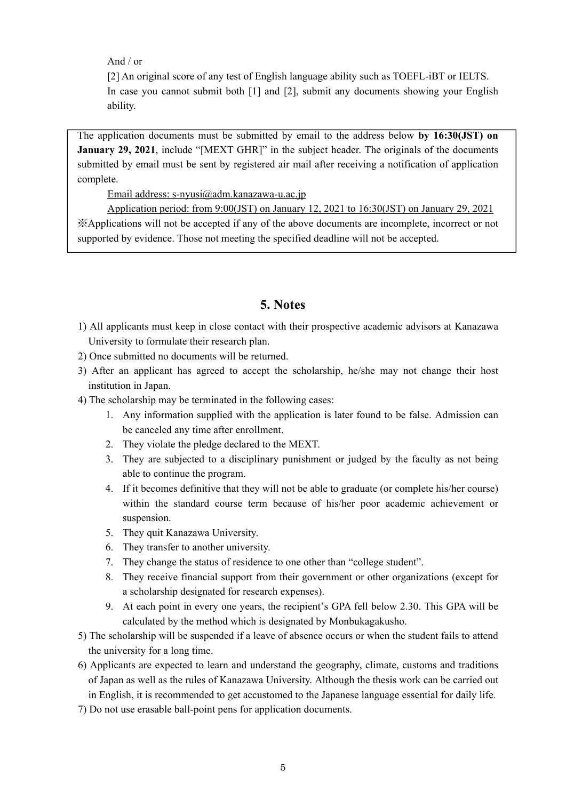And / or

[2] An original score of any test of English language ability such as TOEFL-iBT or IELTS. In case you cannot submit both [1] and [2], submit any documents showing your English ability.

The application documents must be submitted by email to the address below **by 16:30(JST) on January 29, 2021**, include "[MEXT GHR]" in the subject header. The originals of the documents submitted by email must be sent by registered air mail after receiving a notification of application complete.

Email address: s-nyusi@adm.kanazawa-u.ac.jp

Application period: from 9:00(JST) on January 12, 2021 to 16:30(JST) on January 29, 2021 ※Applications will not be accepted if any of the above documents are incomplete, incorrect or not supported by evidence. Those not meeting the specified deadline will not be accepted.

#### **5. Notes**

- 1) All applicants must keep in close contact with their prospective academic advisors at Kanazawa University to formulate their research plan.
- 2) Once submitted no documents will be returned.
- 3) After an applicant has agreed to accept the scholarship, he/she may not change their host institution in Japan.
- 4) The scholarship may be terminated in the following cases:
	- 1. Any information supplied with the application is later found to be false. Admission can be canceled any time after enrollment.
	- 2. They violate the pledge declared to the MEXT.
	- 3. They are subjected to a disciplinary punishment or judged by the faculty as not being able to continue the program.
	- 4. If it becomes definitive that they will not be able to graduate (or complete his/her course) within the standard course term because of his/her poor academic achievement or suspension.
	- 5. They quit Kanazawa University.
	- 6. They transfer to another university.
	- 7. They change the status of residence to one other than "college student".
	- 8. They receive financial support from their government or other organizations (except for a scholarship designated for research expenses).
	- 9. At each point in every one years, the recipient's GPA fell below 2.30. This GPA will be calculated by the method which is designated by Monbukagakusho.
- 5) The scholarship will be suspended if a leave of absence occurs or when the student fails to attend the university for a long time.
- 6) Applicants are expected to learn and understand the geography, climate, customs and traditions of Japan as well as the rules of Kanazawa University. Although the thesis work can be carried out in English, it is recommended to get accustomed to the Japanese language essential for daily life.
- 7) Do not use erasable ball-point pens for application documents.